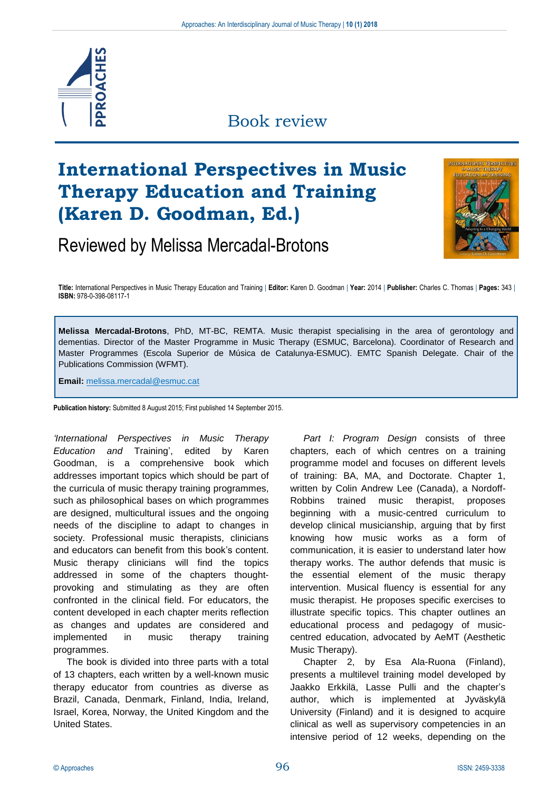

### Book review

# **International Perspectives in Music Therapy Education and Training (Karen D. Goodman, Ed.)**

## Reviewed by Melissa Mercadal-Brotons



**Title:** International Perspectives in Music Therapy Education and Training | **Editor:** Karen D. Goodman | **Year:** 2014 | **Publisher:** Charles C. Thomas | **Pages:** 343 | **ISBN:** 978-0-398-08117-1

**Melissa Mercadal-Brotons**, PhD, MT-BC, REMTA. Music therapist specialising in the area of gerontology and dementias. Director of the Master Programme in Music Therapy (ESMUC, Barcelona). Coordinator of Research and Master Programmes (Escola Superior de Música de Catalunya-ESMUC). EMTC Spanish Delegate. Chair of the Publications Commission (WFMT).

**Email:** melissa.mercadal@esmuc.cat

**Publication history:** Submitted 8 August 2015; First published 14 September 2015.

*'International Perspectives in Music Therapy Education and* Training', edited by Karen Goodman, is a comprehensive book which addresses important topics which should be part of the curricula of music therapy training programmes, such as philosophical bases on which programmes are designed, multicultural issues and the ongoing needs of the discipline to adapt to changes in society. Professional music therapists, clinicians and educators can benefit from this book's content. Music therapy clinicians will find the topics addressed in some of the chapters thoughtprovoking and stimulating as they are often confronted in the clinical field. For educators, the content developed in each chapter merits reflection as changes and updates are considered and implemented in music therapy training programmes.

The book is divided into three parts with a total of 13 chapters, each written by a well-known music therapy educator from countries as diverse as Brazil, Canada, Denmark, Finland, India, Ireland, Israel, Korea, Norway, the United Kingdom and the United States.

*Part I: Program Design* consists of three chapters, each of which centres on a training programme model and focuses on different levels of training: BA, MA, and Doctorate. Chapter 1, written by Colin Andrew Lee (Canada), a Nordoff-Robbins trained music therapist, proposes beginning with a music-centred curriculum to develop clinical musicianship, arguing that by first knowing how music works as a form of communication, it is easier to understand later how therapy works. The author defends that music is the essential element of the music therapy intervention. Musical fluency is essential for any music therapist. He proposes specific exercises to illustrate specific topics. This chapter outlines an educational process and pedagogy of musiccentred education, advocated by AeMT (Aesthetic Music Therapy).

Chapter 2, by Esa Ala-Ruona (Finland), presents a multilevel training model developed by Jaakko Erkkilä, Lasse Pulli and the chapter's author, which is implemented at Jyväskylä University (Finland) and it is designed to acquire clinical as well as supervisory competencies in an intensive period of 12 weeks, depending on the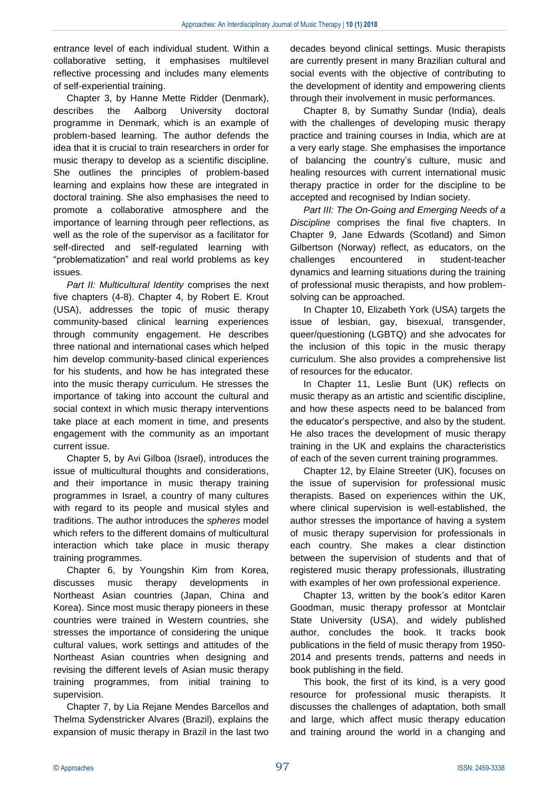entrance level of each individual student. Within a collaborative setting, it emphasises multilevel reflective processing and includes many elements of self-experiential training.

Chapter 3, by Hanne Mette Ridder (Denmark), describes the Aalborg University doctoral programme in Denmark, which is an example of problem-based learning. The author defends the idea that it is crucial to train researchers in order for music therapy to develop as a scientific discipline. She outlines the principles of problem-based learning and explains how these are integrated in doctoral training. She also emphasises the need to promote a collaborative atmosphere and the importance of learning through peer reflections, as well as the role of the supervisor as a facilitator for self-directed and self-regulated learning with "problematization" and real world problems as key issues.

*Part II: Multicultural Identity* comprises the next five chapters (4-8). Chapter 4, by Robert E. Krout (USA), addresses the topic of music therapy community-based clinical learning experiences through community engagement. He describes three national and international cases which helped him develop community-based clinical experiences for his students, and how he has integrated these into the music therapy curriculum. He stresses the importance of taking into account the cultural and social context in which music therapy interventions take place at each moment in time, and presents engagement with the community as an important current issue.

Chapter 5, by Avi Gilboa (Israel), introduces the issue of multicultural thoughts and considerations, and their importance in music therapy training programmes in Israel, a country of many cultures with regard to its people and musical styles and traditions. The author introduces the *spheres* model which refers to the different domains of multicultural interaction which take place in music therapy training programmes.

Chapter 6, by Youngshin Kim from Korea, discusses music therapy developments in Northeast Asian countries (Japan, China and Korea). Since most music therapy pioneers in these countries were trained in Western countries, she stresses the importance of considering the unique cultural values, work settings and attitudes of the Northeast Asian countries when designing and revising the different levels of Asian music therapy training programmes, from initial training to supervision.

Chapter 7, by Lia Rejane Mendes Barcellos and Thelma Sydenstricker Alvares (Brazil), explains the expansion of music therapy in Brazil in the last two

decades beyond clinical settings. Music therapists are currently present in many Brazilian cultural and social events with the objective of contributing to the development of identity and empowering clients through their involvement in music performances.

Chapter 8, by Sumathy Sundar (India), deals with the challenges of developing music therapy practice and training courses in India, which are at a very early stage. She emphasises the importance of balancing the country's culture, music and healing resources with current international music therapy practice in order for the discipline to be accepted and recognised by Indian society.

*Part III: The On-Going and Emerging Needs of a Discipline* comprises the final five chapters. In Chapter 9, Jane Edwards (Scotland) and Simon Gilbertson (Norway) reflect, as educators, on the challenges encountered in student-teacher dynamics and learning situations during the training of professional music therapists, and how problemsolving can be approached.

In Chapter 10, Elizabeth York (USA) targets the issue of lesbian, gay, bisexual, transgender, queer/questioning (LGBTQ) and she advocates for the inclusion of this topic in the music therapy curriculum. She also provides a comprehensive list of resources for the educator.

In Chapter 11, Leslie Bunt (UK) reflects on music therapy as an artistic and scientific discipline, and how these aspects need to be balanced from the educator's perspective, and also by the student. He also traces the development of music therapy training in the UK and explains the characteristics of each of the seven current training programmes.

Chapter 12, by Elaine Streeter (UK), focuses on the issue of supervision for professional music therapists. Based on experiences within the UK, where clinical supervision is well-established, the author stresses the importance of having a system of music therapy supervision for professionals in each country. She makes a clear distinction between the supervision of students and that of registered music therapy professionals, illustrating with examples of her own professional experience.

Chapter 13, written by the book's editor Karen Goodman, music therapy professor at Montclair State University (USA), and widely published author, concludes the book. It tracks book publications in the field of music therapy from 1950- 2014 and presents trends, patterns and needs in book publishing in the field.

This book, the first of its kind, is a very good resource for professional music therapists. It discusses the challenges of adaptation, both small and large, which affect music therapy education and training around the world in a changing and